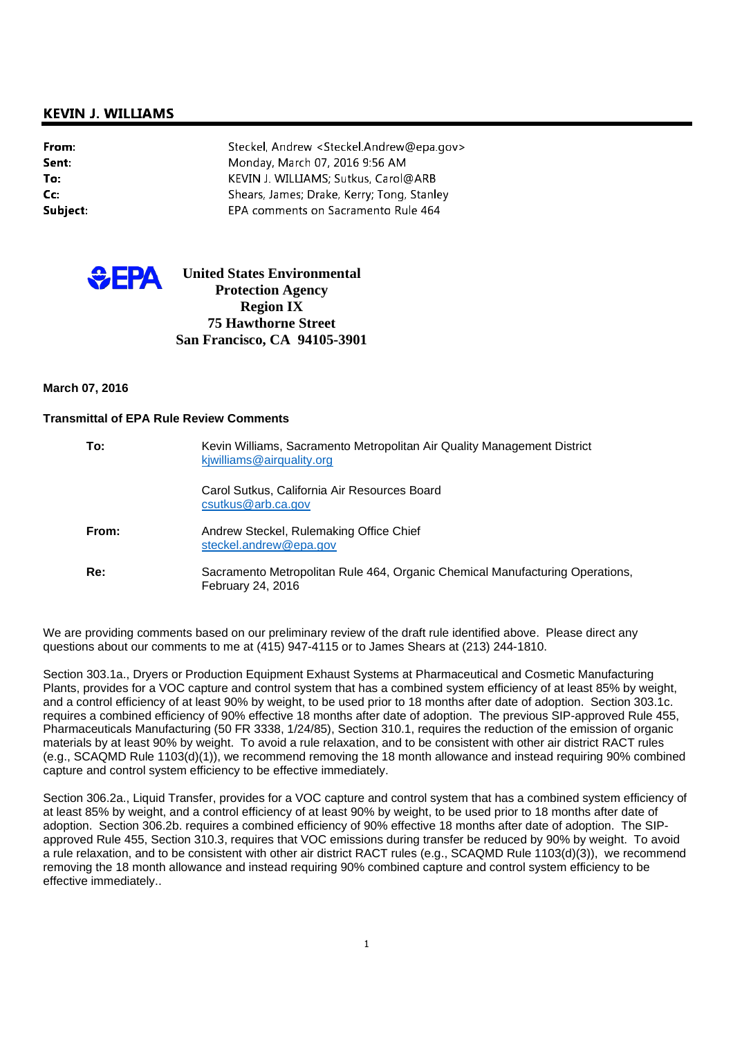# **KEVIN J. WILLIAMS**

| From:    | Steckel, Andrew <steckel.andrew@epa.gov></steckel.andrew@epa.gov> |
|----------|-------------------------------------------------------------------|
| Sent:    | Monday, March 07, 2016 9:56 AM                                    |
| To:      | KEVIN J. WILLIAMS; Sutkus, Carol@ARB                              |
| $Cc$ :   | Shears, James; Drake, Kerry; Tong, Stanley                        |
| Subject: | EPA comments on Sacramento Rule 464                               |



# **United States Environmental Protection Agency Region IX 75 Hawthorne Street San Francisco, CA 94105-3901**

#### **March 07, 2016**

#### **Transmittal of EPA Rule Review Comments**

| To:   | Kevin Williams, Sacramento Metropolitan Air Quality Management District<br>kjwilliams@airquality.org     |
|-------|----------------------------------------------------------------------------------------------------------|
|       | Carol Sutkus, California Air Resources Board<br>csutkus@arb.ca.gov                                       |
| From: | Andrew Steckel, Rulemaking Office Chief<br>steckel.andrew@epa.gov                                        |
| Re:   | Sacramento Metropolitan Rule 464, Organic Chemical Manufacturing Operations,<br><b>February 24, 2016</b> |

We are providing comments based on our preliminary review of the draft rule identified above. Please direct any questions about our comments to me at (415) 947-4115 or to James Shears at (213) 244-1810.

Section 303.1a., Dryers or Production Equipment Exhaust Systems at Pharmaceutical and Cosmetic Manufacturing Plants, provides for a VOC capture and control system that has a combined system efficiency of at least 85% by weight, and a control efficiency of at least 90% by weight, to be used prior to 18 months after date of adoption. Section 303.1c. requires a combined efficiency of 90% effective 18 months after date of adoption. The previous SIP-approved Rule 455, Pharmaceuticals Manufacturing (50 FR 3338, 1/24/85), Section 310.1, requires the reduction of the emission of organic materials by at least 90% by weight. To avoid a rule relaxation, and to be consistent with other air district RACT rules (e.g., SCAQMD Rule 1103(d)(1)), we recommend removing the 18 month allowance and instead requiring 90% combined capture and control system efficiency to be effective immediately.

Section 306.2a., Liquid Transfer, provides for a VOC capture and control system that has a combined system efficiency of at least 85% by weight, and a control efficiency of at least 90% by weight, to be used prior to 18 months after date of adoption. Section 306.2b. requires a combined efficiency of 90% effective 18 months after date of adoption. The SIPapproved Rule 455, Section 310.3, requires that VOC emissions during transfer be reduced by 90% by weight. To avoid a rule relaxation, and to be consistent with other air district RACT rules (e.g., SCAQMD Rule 1103(d)(3)), we recommend removing the 18 month allowance and instead requiring 90% combined capture and control system efficiency to be effective immediately..